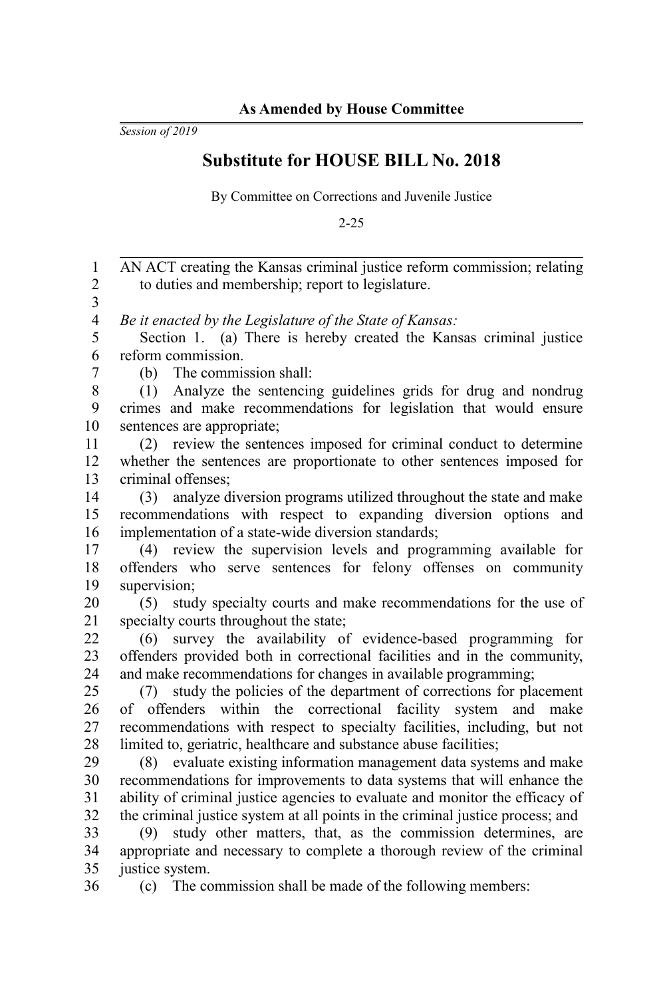*Session of 2019*

## **Substitute for HOUSE BILL No. 2018**

By Committee on Corrections and Juvenile Justice

2-25

AN ACT creating the Kansas criminal justice reform commission; relating to duties and membership; report to legislature. *Be it enacted by the Legislature of the State of Kansas:* Section 1. (a) There is hereby created the Kansas criminal justice reform commission. (b) The commission shall: (1) Analyze the sentencing guidelines grids for drug and nondrug crimes and make recommendations for legislation that would ensure sentences are appropriate; (2) review the sentences imposed for criminal conduct to determine whether the sentences are proportionate to other sentences imposed for criminal offenses; (3) analyze diversion programs utilized throughout the state and make recommendations with respect to expanding diversion options and implementation of a state-wide diversion standards; (4) review the supervision levels and programming available for offenders who serve sentences for felony offenses on community supervision; (5) study specialty courts and make recommendations for the use of specialty courts throughout the state; (6) survey the availability of evidence-based programming for offenders provided both in correctional facilities and in the community, and make recommendations for changes in available programming; (7) study the policies of the department of corrections for placement of offenders within the correctional facility system and make recommendations with respect to specialty facilities, including, but not limited to, geriatric, healthcare and substance abuse facilities; (8) evaluate existing information management data systems and make recommendations for improvements to data systems that will enhance the ability of criminal justice agencies to evaluate and monitor the efficacy of the criminal justice system at all points in the criminal justice process; and (9) study other matters, that, as the commission determines, are appropriate and necessary to complete a thorough review of the criminal justice system. (c) The commission shall be made of the following members: 1 2 3 4 5 6 7 8 9 10 11 12 13 14 15 16 17 18 19 20 21 22  $23$ 24 25 26 27 28 29 30 31 32 33 34 35 36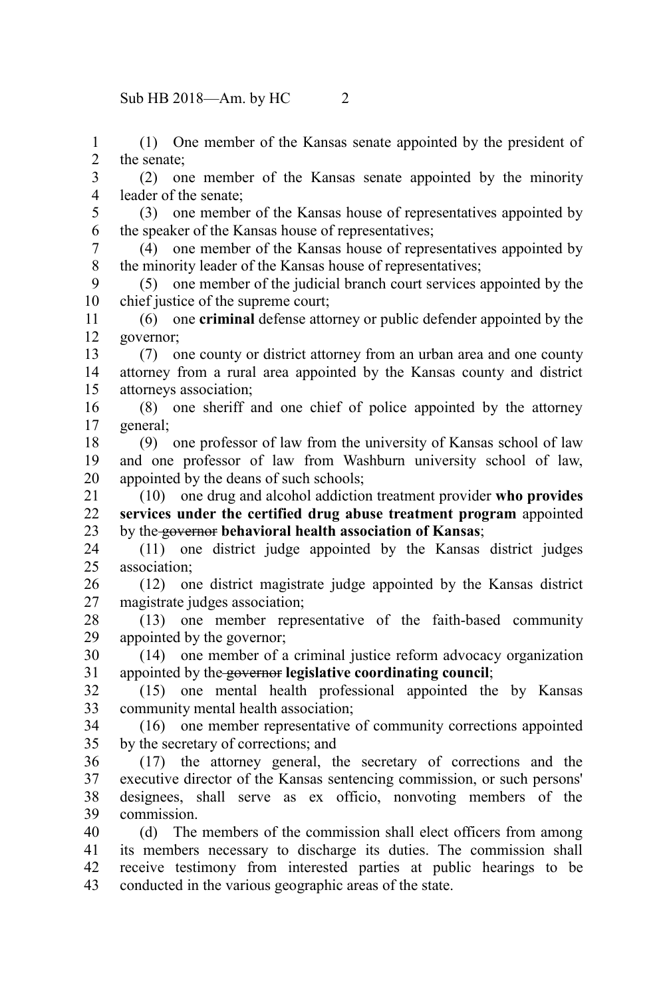(1) One member of the Kansas senate appointed by the president of the senate; 1 2

(2) one member of the Kansas senate appointed by the minority leader of the senate; 3 4

(3) one member of the Kansas house of representatives appointed by the speaker of the Kansas house of representatives; 5 6

(4) one member of the Kansas house of representatives appointed by the minority leader of the Kansas house of representatives; 7 8

(5) one member of the judicial branch court services appointed by the chief justice of the supreme court; 9 10

(6) one **criminal** defense attorney or public defender appointed by the governor; 11 12

(7) one county or district attorney from an urban area and one county attorney from a rural area appointed by the Kansas county and district attorneys association; 13 14 15

(8) one sheriff and one chief of police appointed by the attorney general; 16 17

(9) one professor of law from the university of Kansas school of law and one professor of law from Washburn university school of law, appointed by the deans of such schools; 18 19 20

(10) one drug and alcohol addiction treatment provider **who provides services under the certified drug abuse treatment program** appointed by the governor **behavioral health association of Kansas**; 21 22 23

(11) one district judge appointed by the Kansas district judges association; 24 25

(12) one district magistrate judge appointed by the Kansas district magistrate judges association; 26 27

(13) one member representative of the faith-based community appointed by the governor; 28 29

(14) one member of a criminal justice reform advocacy organization appointed by the governor **legislative coordinating council**; 30 31

(15) one mental health professional appointed the by Kansas community mental health association; 32 33

(16) one member representative of community corrections appointed by the secretary of corrections; and 34 35

(17) the attorney general, the secretary of corrections and the executive director of the Kansas sentencing commission, or such persons' designees, shall serve as ex officio, nonvoting members of the commission. 36 37 38 39

(d) The members of the commission shall elect officers from among its members necessary to discharge its duties. The commission shall receive testimony from interested parties at public hearings to be conducted in the various geographic areas of the state. 40 41 42 43